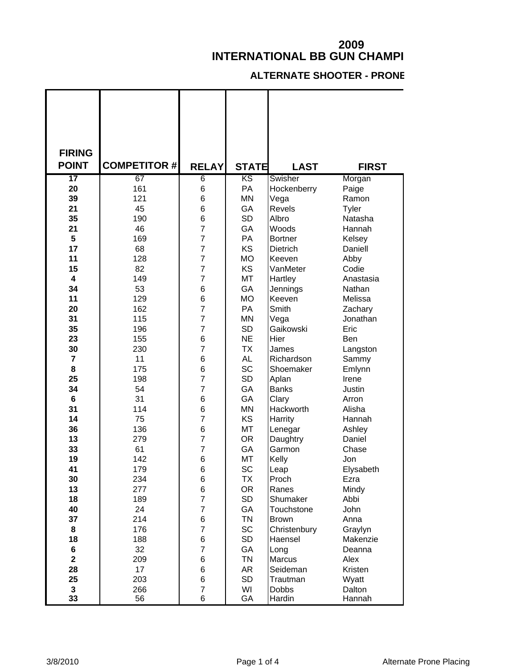## **INTERNATIONAL BB GUN CHAMPI**

## **ALTERNATE SHOOTER - PRONE**

| <b>FIRING</b>            |                     |                |              |                        |                  |
|--------------------------|---------------------|----------------|--------------|------------------------|------------------|
| <b>POINT</b>             | <b>COMPETITOR #</b> | <b>RELAY</b>   | <b>STATE</b> | <b>LAST</b>            | <b>FIRST</b>     |
| $\overline{\mathbf{17}}$ | 67                  | 6              | ΚS           | Swisher                | Morgan           |
| 20                       | 161                 | 6              | PA           | Hockenberry            | Paige            |
| 39                       | 121                 | 6              | <b>MN</b>    | Vega                   | Ramon            |
| 21                       | 45                  | 6              | GA           | <b>Revels</b>          | Tyler            |
| 35                       | 190                 | 6              | <b>SD</b>    | Albro                  | Natasha          |
| 21                       | 46                  | 7              | GA           | Woods                  | Hannah           |
| 5                        | 169                 | 7              | PA           | <b>Bortner</b>         | Kelsey           |
| 17                       | 68                  | 7              | KS           | Dietrich               | Daniell          |
| 11                       | 128                 | 7              | <b>MO</b>    | Keeven                 | Abby             |
| 15                       | 82                  | 7              | KS           | VanMeter               | Codie            |
| $\overline{\mathbf{4}}$  | 149                 | $\overline{7}$ | MT           | Hartley                | Anastasia        |
| 34                       | 53                  | 6              | GA           | Jennings               | Nathan           |
| 11                       | 129                 | 6              | <b>MO</b>    | Keeven                 | Melissa          |
| 20                       | 162                 | 7              | PA           | Smith                  | Zachary          |
| 31                       | 115                 | 7              | <b>MN</b>    | Vega                   | Jonathan         |
| 35                       | 196                 | 7              | <b>SD</b>    | Gaikowski              | Eric             |
| 23                       | 155                 | 6              | <b>NE</b>    | Hier                   | Ben              |
| 30                       | 230                 | 7              | <b>TX</b>    | James                  | Langston         |
| $\overline{7}$           | 11                  | 6              | <b>AL</b>    | Richardson             | Sammy            |
| 8                        | 175                 | 6              | <b>SC</b>    | Shoemaker              | Emlynn           |
| 25                       | 198                 | 7              | <b>SD</b>    | Aplan                  | Irene            |
| 34                       | 54                  | 7              | GA           | <b>Banks</b>           | Justin           |
| $\bf 6$                  | 31                  | 6              | GA           | Clary                  | Arron            |
| 31                       | 114                 | 6              | <b>MN</b>    | Hackworth              | Alisha           |
| 14                       | 75                  | 7              | KS           | Harrity                | Hannah           |
| 36                       | 136                 | 6              | MT           | Lenegar                | Ashley           |
| 13                       | 279                 | 7              | <b>OR</b>    | Daughtry               | Daniel           |
| 33                       | 61                  | 7              | GA           | Garmon                 | Chase            |
| 19                       | 142                 | 6              | MT           | Kelly                  | Jon              |
| 41                       | 179                 | 6              | SC           | Leap                   | Elysabeth        |
| 30                       | 234                 | 6              | TX           | Proch                  | Ezra             |
| 13                       | 277                 | 6              | OR.          | Ranes                  | Mindy            |
| 18                       | 189                 | 7              | <b>SD</b>    | Shumaker               | Abbi             |
| 40                       | 24                  | 7              | GA           | Touchstone             | John             |
| 37                       | 214                 | 6              | <b>TN</b>    | <b>Brown</b>           | Anna             |
| 8                        | 176                 | 7              | SC           | Christenbury           | Graylyn          |
| 18                       | 188                 | 6              | SD           | Haensel                | Makenzie         |
| 6<br>$\overline{2}$      | 32                  | 7              | GA           | Long                   | Deanna           |
|                          | 209                 | 6              | TN           | Marcus                 | Alex             |
| 28                       | 17                  | 6              | AR           | Seideman               | Kristen          |
| 25                       | 203                 | 6              | <b>SD</b>    | Trautman               | Wyatt            |
| $\mathbf{3}$<br>33       | 266<br>56           | 7<br>6         | WI<br>GA     | <b>Dobbs</b><br>Hardin | Dalton<br>Hannah |

L

ı

 $\mathbf I$ 

 $\mathsf I$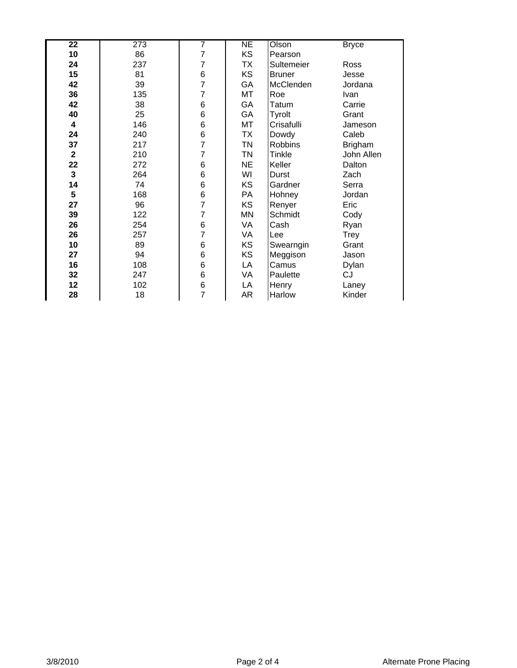| $\overline{22}$ | 273 | 7              | NE        | Olson          | <b>Bryce</b>   |
|-----------------|-----|----------------|-----------|----------------|----------------|
| 10              | 86  | $\overline{7}$ | <b>KS</b> | Pearson        |                |
| 24              | 237 | 7              | <b>TX</b> | Sultemeier     | Ross           |
| 15              | 81  | 6              | <b>KS</b> | <b>Bruner</b>  | Jesse          |
| 42              | 39  | $\overline{7}$ | GA        | McClenden      | Jordana        |
| 36              | 135 | 7              | MT        | Roe            | Ivan           |
| 42              | 38  | 6              | GA        | Tatum          | Carrie         |
| 40              | 25  | 6              | GA        | Tyrolt         | Grant          |
| 4               | 146 | 6              | MT        | Crisafulli     | Jameson        |
| 24              | 240 | 6              | TX        | Dowdy          | Caleb          |
| 37              | 217 | $\overline{7}$ | <b>TN</b> | <b>Robbins</b> | <b>Brigham</b> |
| $\mathbf{2}$    | 210 | 7              | <b>TN</b> | Tinkle         | John Allen     |
| 22              | 272 | 6              | <b>NE</b> | Keller         | Dalton         |
| $\mathbf 3$     | 264 | 6              | WI        | Durst          | Zach           |
| 14              | 74  | 6              | KS        | Gardner        | Serra          |
| 5               | 168 | 6              | PA        | Hohney         | Jordan         |
| 27              | 96  | 7              | <b>KS</b> | Renyer         | Eric           |
| 39              | 122 | 7              | MN        | Schmidt        | Cody           |
| 26              | 254 | 6              | VA        | Cash           | Ryan           |
| 26              | 257 | 7              | VA        | Lee            | Trey           |
| 10              | 89  | 6              | KS        | Swearngin      | Grant          |
| 27              | 94  | 6              | KS        | Meggison       | Jason          |
| 16              | 108 | 6              | LA        | Camus          | Dylan          |
| 32              | 247 | 6              | VA        | Paulette       | CJ             |
| 12              | 102 | 6              | LA        | Henry          | Laney          |
| 28              | 18  | $\overline{7}$ | AR        | Harlow         | Kinder         |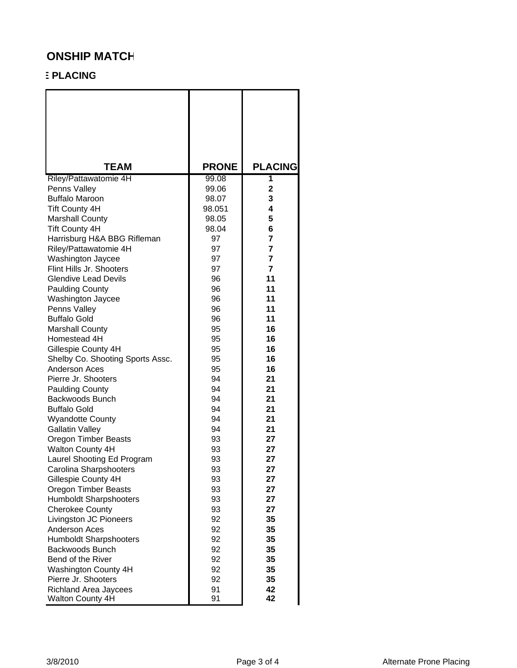## **ONSHIP MATCH**

## **E PLACING**

| <b>TEAM</b>                           | <b>PRONE</b>   | <b>PLACING</b>    |
|---------------------------------------|----------------|-------------------|
| Riley/Pattawatomie 4H                 | 99.08<br>99.06 | 1<br>$\mathbf{2}$ |
| Penns Valley<br><b>Buffalo Maroon</b> | 98.07          | 3                 |
| <b>Tift County 4H</b>                 | 98.051         | 4                 |
| <b>Marshall County</b>                | 98.05          | 5                 |
| <b>Tift County 4H</b>                 | 98.04          | 6                 |
| Harrisburg H&A BBG Rifleman           | 97             | $\overline{7}$    |
| Riley/Pattawatomie 4H                 | 97             | $\overline{7}$    |
| Washington Jaycee                     | 97             | $\overline{7}$    |
| Flint Hills Jr. Shooters              | 97             | $\overline{7}$    |
| <b>Glendive Lead Devils</b>           | 96             | 11                |
| <b>Paulding County</b>                | 96             | 11                |
| Washington Jaycee                     | 96             | 11                |
| Penns Valley                          | 96             | 11                |
| <b>Buffalo Gold</b>                   | 96             | 11                |
| <b>Marshall County</b>                | 95             | 16                |
| Homestead 4H                          | 95             | 16                |
| Gillespie County 4H                   | 95             | 16                |
| Shelby Co. Shooting Sports Assc.      | 95             | 16                |
| Anderson Aces                         | 95             | 16                |
| Pierre Jr. Shooters                   | 94             | 21                |
| <b>Paulding County</b>                | 94             | 21                |
| Backwoods Bunch                       | 94             | 21                |
| <b>Buffalo Gold</b>                   | 94             | 21                |
| <b>Wyandotte County</b>               | 94             | 21                |
| <b>Gallatin Valley</b>                | 94             | 21                |
| Oregon Timber Beasts                  | 93             | 27                |
| <b>Walton County 4H</b>               | 93             | 27                |
| Laurel Shooting Ed Program            | 93             | 27                |
| Carolina Sharpshooters                | 93             | 27                |
| Gillespie County 4H                   | 93             | 27                |
| Oregon Timber Beasts                  | 93             | 27                |
| <b>Humboldt Sharpshooters</b>         | 93             | 27                |
| <b>Cherokee County</b>                | 93             | 27                |
| Livingston JC Pioneers                | 92             | 35                |
| <b>Anderson Aces</b>                  | 92             | 35                |
| <b>Humboldt Sharpshooters</b>         | 92             | 35                |
| Backwoods Bunch                       | 92             | 35                |
| Bend of the River                     | 92             | 35                |
| Washington County 4H                  | 92             | 35                |
| Pierre Jr. Shooters                   | 92             | 35                |
| <b>Richland Area Jaycees</b>          | 91             | 42                |
| <b>Walton County 4H</b>               | 91             | 42                |